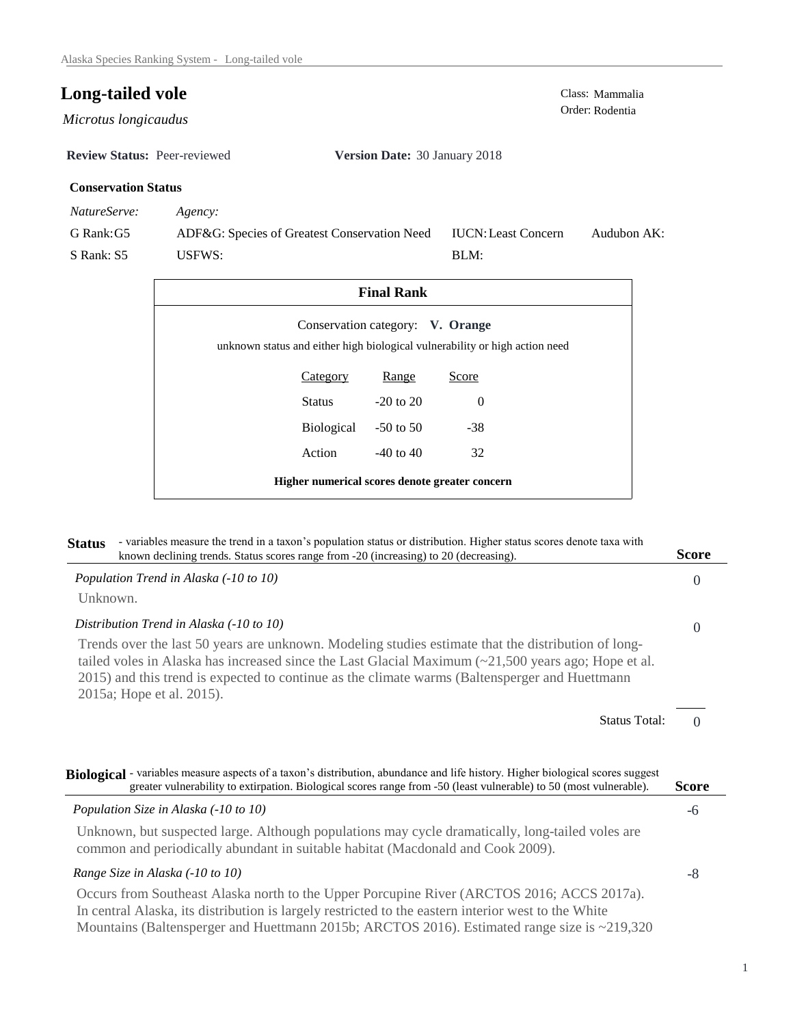$Microtus longicaudus$ 

**Review Status:** Peer-reviewed **Version Date:** 30 January 2018

## **Conservation Status**

*NatureServe: Agency:*

G Rank:G5 S Rank: S5 ADF&G: Species of Greatest Conservation Need USFWS: Audubon AK: BLM: IUCN:Least Concern

| <b>Final Rank</b>                                                                                               |                 |               |          |  |  |
|-----------------------------------------------------------------------------------------------------------------|-----------------|---------------|----------|--|--|
| Conservation category: V. Orange<br>unknown status and either high biological vulnerability or high action need |                 |               |          |  |  |
|                                                                                                                 | <b>Category</b> | Range         | Score    |  |  |
|                                                                                                                 | Status          | $-20$ to $20$ | $\Omega$ |  |  |
|                                                                                                                 | Biological      | $-50$ to 50   | $-38$    |  |  |
|                                                                                                                 | Action          | $-40$ to $40$ | 32       |  |  |
| Higher numerical scores denote greater concern                                                                  |                 |               |          |  |  |

| - variables measure the trend in a taxon's population status or distribution. Higher status scores denote taxa with<br><b>Status</b><br>known declining trends. Status scores range from -20 (increasing) to 20 (decreasing).                                                                                                                     | <b>Score</b> |
|---------------------------------------------------------------------------------------------------------------------------------------------------------------------------------------------------------------------------------------------------------------------------------------------------------------------------------------------------|--------------|
| Population Trend in Alaska (-10 to 10)                                                                                                                                                                                                                                                                                                            | $\Omega$     |
| Unknown.                                                                                                                                                                                                                                                                                                                                          |              |
| Distribution Trend in Alaska (-10 to 10)                                                                                                                                                                                                                                                                                                          | $\Omega$     |
| Trends over the last 50 years are unknown. Modeling studies estimate that the distribution of long-<br>tailed voles in Alaska has increased since the Last Glacial Maximum $\approx$ 21,500 years ago; Hope et al.<br>2015) and this trend is expected to continue as the climate warms (Baltensperger and Huettmann<br>2015a; Hope et al. 2015). |              |
| <b>Status Total:</b>                                                                                                                                                                                                                                                                                                                              | $\Omega$     |
| Biological - variables measure aspects of a taxon's distribution, abundance and life history. Higher biological scores suggest<br>greater vulnerability to extirpation. Biological scores range from -50 (least vulnerable) to 50 (most vulnerable).                                                                                              | <b>Score</b> |
| Population Size in Alaska (-10 to 10)                                                                                                                                                                                                                                                                                                             | -6           |
| Unknown, but suspected large. Although populations may cycle dramatically, long-tailed voles are<br>common and periodically abundant in suitable habitat (Macdonald and Cook 2009).                                                                                                                                                               |              |
| Range Size in Alaska (-10 to 10)                                                                                                                                                                                                                                                                                                                  | -8           |
| Occurs from Southeast Alaska north to the Upper Porcupine River (ARCTOS 2016; ACCS 2017a).<br>In central Alaska, its distribution is largely restricted to the eastern interior west to the White<br>Mountains (Baltensperger and Huettmann 2015b; ARCTOS 2016). Estimated range size is ~219,320                                                 |              |

**Long-tailed vole**<br>
Class: Mammalia<br>
Order: Rodentia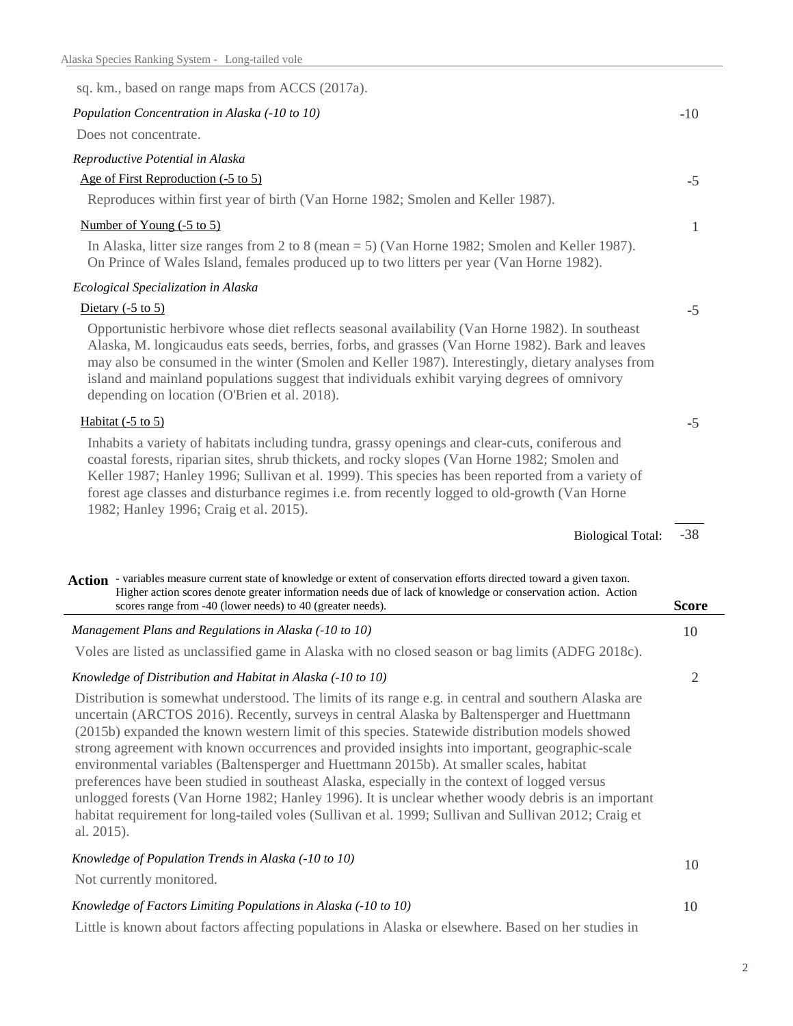| sq. km., based on range maps from ACCS (2017a).                                                                                                                                                                                                                                                                                                                                                                                                                                                                                                                                                                                                                                                                                                                                                                                  |              |
|----------------------------------------------------------------------------------------------------------------------------------------------------------------------------------------------------------------------------------------------------------------------------------------------------------------------------------------------------------------------------------------------------------------------------------------------------------------------------------------------------------------------------------------------------------------------------------------------------------------------------------------------------------------------------------------------------------------------------------------------------------------------------------------------------------------------------------|--------------|
| Population Concentration in Alaska (-10 to 10)                                                                                                                                                                                                                                                                                                                                                                                                                                                                                                                                                                                                                                                                                                                                                                                   | $-10$        |
| Does not concentrate.                                                                                                                                                                                                                                                                                                                                                                                                                                                                                                                                                                                                                                                                                                                                                                                                            |              |
| Reproductive Potential in Alaska                                                                                                                                                                                                                                                                                                                                                                                                                                                                                                                                                                                                                                                                                                                                                                                                 |              |
| Age of First Reproduction (-5 to 5)                                                                                                                                                                                                                                                                                                                                                                                                                                                                                                                                                                                                                                                                                                                                                                                              | $-5$         |
| Reproduces within first year of birth (Van Horne 1982; Smolen and Keller 1987).                                                                                                                                                                                                                                                                                                                                                                                                                                                                                                                                                                                                                                                                                                                                                  |              |
| Number of Young (-5 to 5)                                                                                                                                                                                                                                                                                                                                                                                                                                                                                                                                                                                                                                                                                                                                                                                                        | 1            |
| In Alaska, litter size ranges from 2 to 8 (mean = 5) (Van Horne 1982; Smolen and Keller 1987).<br>On Prince of Wales Island, females produced up to two litters per year (Van Horne 1982).                                                                                                                                                                                                                                                                                                                                                                                                                                                                                                                                                                                                                                       |              |
| Ecological Specialization in Alaska                                                                                                                                                                                                                                                                                                                                                                                                                                                                                                                                                                                                                                                                                                                                                                                              |              |
| Dietary $(-5 \text{ to } 5)$                                                                                                                                                                                                                                                                                                                                                                                                                                                                                                                                                                                                                                                                                                                                                                                                     | $-5$         |
| Opportunistic herbivore whose diet reflects seasonal availability (Van Horne 1982). In southeast<br>Alaska, M. longicaudus eats seeds, berries, forbs, and grasses (Van Horne 1982). Bark and leaves<br>may also be consumed in the winter (Smolen and Keller 1987). Interestingly, dietary analyses from<br>island and mainland populations suggest that individuals exhibit varying degrees of omnivory<br>depending on location (O'Brien et al. 2018).                                                                                                                                                                                                                                                                                                                                                                        |              |
| Habitat $(-5 \text{ to } 5)$                                                                                                                                                                                                                                                                                                                                                                                                                                                                                                                                                                                                                                                                                                                                                                                                     | $-5$         |
| Inhabits a variety of habitats including tundra, grassy openings and clear-cuts, coniferous and<br>coastal forests, riparian sites, shrub thickets, and rocky slopes (Van Horne 1982; Smolen and<br>Keller 1987; Hanley 1996; Sullivan et al. 1999). This species has been reported from a variety of<br>forest age classes and disturbance regimes i.e. from recently logged to old-growth (Van Horne<br>1982; Hanley 1996; Craig et al. 2015).                                                                                                                                                                                                                                                                                                                                                                                 |              |
| <b>Biological Total:</b>                                                                                                                                                                                                                                                                                                                                                                                                                                                                                                                                                                                                                                                                                                                                                                                                         | $-38$        |
| Action - variables measure current state of knowledge or extent of conservation efforts directed toward a given taxon.<br>Higher action scores denote greater information needs due of lack of knowledge or conservation action. Action<br>scores range from -40 (lower needs) to 40 (greater needs).                                                                                                                                                                                                                                                                                                                                                                                                                                                                                                                            | <b>Score</b> |
| Management Plans and Regulations in Alaska (-10 to 10)                                                                                                                                                                                                                                                                                                                                                                                                                                                                                                                                                                                                                                                                                                                                                                           | 10           |
| Voles are listed as unclassified game in Alaska with no closed season or bag limits (ADFG 2018c).                                                                                                                                                                                                                                                                                                                                                                                                                                                                                                                                                                                                                                                                                                                                |              |
| Knowledge of Distribution and Habitat in Alaska (-10 to 10)                                                                                                                                                                                                                                                                                                                                                                                                                                                                                                                                                                                                                                                                                                                                                                      | 2            |
| Distribution is somewhat understood. The limits of its range e.g. in central and southern Alaska are<br>uncertain (ARCTOS 2016). Recently, surveys in central Alaska by Baltensperger and Huettmann<br>(2015b) expanded the known western limit of this species. Statewide distribution models showed<br>strong agreement with known occurrences and provided insights into important, geographic-scale<br>environmental variables (Baltensperger and Huettmann 2015b). At smaller scales, habitat<br>preferences have been studied in southeast Alaska, especially in the context of logged versus<br>unlogged forests (Van Horne 1982; Hanley 1996). It is unclear whether woody debris is an important<br>habitat requirement for long-tailed voles (Sullivan et al. 1999; Sullivan and Sullivan 2012; Craig et<br>al. 2015). |              |
| Knowledge of Population Trends in Alaska (-10 to 10)<br>Not currently monitored.                                                                                                                                                                                                                                                                                                                                                                                                                                                                                                                                                                                                                                                                                                                                                 | 10           |
| Knowledge of Factors Limiting Populations in Alaska (-10 to 10)                                                                                                                                                                                                                                                                                                                                                                                                                                                                                                                                                                                                                                                                                                                                                                  | 10           |
|                                                                                                                                                                                                                                                                                                                                                                                                                                                                                                                                                                                                                                                                                                                                                                                                                                  |              |

Little is known about factors affecting populations in Alaska or elsewhere. Based on her studies in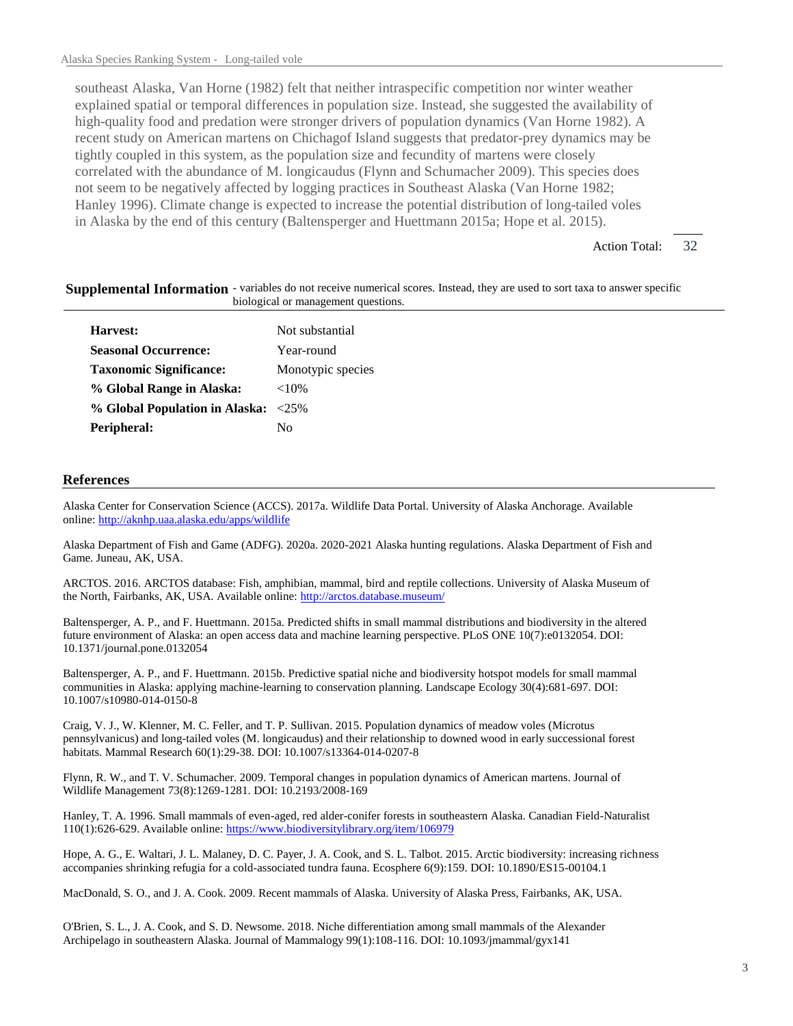southeast Alaska, Van Horne (1982) felt that neither intraspecific competition nor winter weather explained spatial or temporal differences in population size. Instead, she suggested the availability of high-quality food and predation were stronger drivers of population dynamics (Van Horne 1982). A recent study on American martens on Chichagof Island suggests that predator-prey dynamics may be tightly coupled in this system, as the population size and fecundity of martens were closely correlated with the abundance of M. longicaudus (Flynn and Schumacher 2009). This species does not seem to be negatively affected by logging practices in Southeast Alaska (Van Horne 1982; Hanley 1996). Climate change is expected to increase the potential distribution of long-tailed voles in Alaska by the end of this century (Baltensperger and Huettmann 2015a; Hope et al. 2015).

> 32 Action Total:

| biological or management questions. |                   |  |
|-------------------------------------|-------------------|--|
| Harvest:                            | Not substantial   |  |
| <b>Seasonal Occurrence:</b>         | Year-round        |  |
| <b>Taxonomic Significance:</b>      | Monotypic species |  |
| % Global Range in Alaska:           | ${<}10\%$         |  |
| % Global Population in Alaska: <25% |                   |  |
| Peripheral:                         | No.               |  |
|                                     |                   |  |

## Supplemental Information - variables do not receive numerical scores. Instead, they are used to sort taxa to answer specific

## **References**

Alaska Center for Conservation Science (ACCS). 2017a. Wildlife Data Portal. University of Alaska Anchorage. Available online: http://aknhp.uaa.alaska.edu/apps/wildlife

Alaska Department of Fish and Game (ADFG). 2020a. 2020-2021 Alaska hunting regulations. Alaska Department of Fish and Game. Juneau, AK, USA.

ARCTOS. 2016. ARCTOS database: Fish, amphibian, mammal, bird and reptile collections. University of Alaska Museum of the North, Fairbanks, AK, USA. Available online: http://arctos.database.museum/

Baltensperger, A. P., and F. Huettmann. 2015a. Predicted shifts in small mammal distributions and biodiversity in the altered future environment of Alaska: an open access data and machine learning perspective. PLoS ONE 10(7):e0132054. DOI: 10.1371/journal.pone.0132054

Baltensperger, A. P., and F. Huettmann. 2015b. Predictive spatial niche and biodiversity hotspot models for small mammal communities in Alaska: applying machine-learning to conservation planning. Landscape Ecology 30(4):681-697. DOI: 10.1007/s10980-014-0150-8

Craig, V. J., W. Klenner, M. C. Feller, and T. P. Sullivan. 2015. Population dynamics of meadow voles (Microtus pennsylvanicus) and long-tailed voles (M. longicaudus) and their relationship to downed wood in early successional forest habitats. Mammal Research 60(1):29-38. DOI: 10.1007/s13364-014-0207-8

Flynn, R. W., and T. V. Schumacher. 2009. Temporal changes in population dynamics of American martens. Journal of Wildlife Management 73(8):1269-1281. DOI: 10.2193/2008-169

Hanley, T. A. 1996. Small mammals of even-aged, red alder-conifer forests in southeastern Alaska. Canadian Field-Naturalist 110(1):626-629. Available online: https://www.biodiversitylibrary.org/item/106979

Hope, A. G., E. Waltari, J. L. Malaney, D. C. Payer, J. A. Cook, and S. L. Talbot. 2015. Arctic biodiversity: increasing richness accompanies shrinking refugia for a cold-associated tundra fauna. Ecosphere 6(9):159. DOI: 10.1890/ES15-00104.1

MacDonald, S. O., and J. A. Cook. 2009. Recent mammals of Alaska. University of Alaska Press, Fairbanks, AK, USA.

O'Brien, S. L., J. A. Cook, and S. D. Newsome. 2018. Niche differentiation among small mammals of the Alexander Archipelago in southeastern Alaska. Journal of Mammalogy 99(1):108-116. DOI: 10.1093/jmammal/gyx141